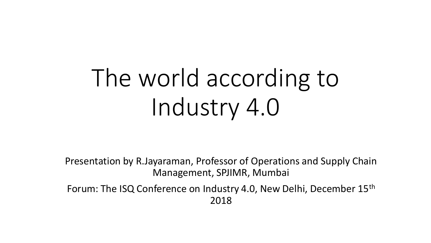# The world according to Industry 4.0

Presentation by R.Jayaraman, Professor of Operations and Supply Chain Management, SPJIMR, Mumbai

Forum: The ISQ Conference on Industry 4.0, New Delhi, December 15th 2018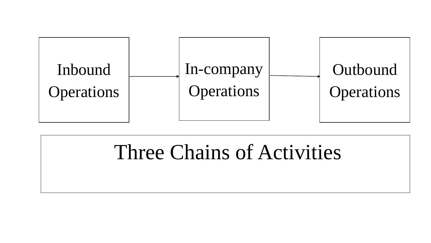

# Three Chains of Activities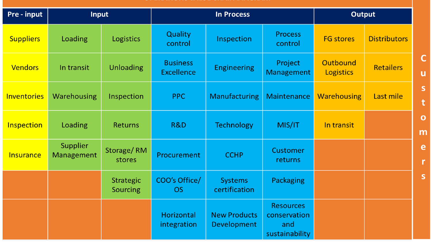| Pre - input        | <b>Input</b>           |                              | <b>In Process</b>                    |                                    |                                                           | Output                       |                     |  |
|--------------------|------------------------|------------------------------|--------------------------------------|------------------------------------|-----------------------------------------------------------|------------------------------|---------------------|--|
| <b>Suppliers</b>   | Loading                | <b>Logistics</b>             | Quality<br>control                   | Inspection                         | <b>Process</b><br>control                                 | <b>FG stores</b>             | <b>Distributors</b> |  |
| <b>Vendors</b>     | In transit             | <b>Unloading</b>             | <b>Business</b><br><b>Excellence</b> | <b>Engineering</b>                 | Project<br><b>Management</b>                              | Outbound<br><b>Logistics</b> | <b>Retailers</b>    |  |
| <b>Inventories</b> | <b>Warehousing</b>     | Inspection                   | PPC                                  | Manufacturing                      | Maintenance                                               | <b>Warehousing</b>           | Last mile           |  |
| <b>Inspection</b>  | Loading                | <b>Returns</b>               | <b>R&amp;D</b>                       | <b>Technology</b>                  | MIS/IT                                                    | In transit                   |                     |  |
| <b>Insurance</b>   | Supplier<br>Management | Storage/RM<br>stores         | <b>Procurement</b>                   | <b>CCHP</b>                        | <b>Customer</b><br>returns                                |                              |                     |  |
|                    |                        | <b>Strategic</b><br>Sourcing | COO's Office/<br>OS.                 | <b>Systems</b><br>certification    | <b>Packaging</b>                                          |                              |                     |  |
|                    |                        |                              | Horizontal<br>integration            | <b>New Products</b><br>Development | <b>Resources</b><br>conservation<br>and<br>sustainability |                              |                     |  |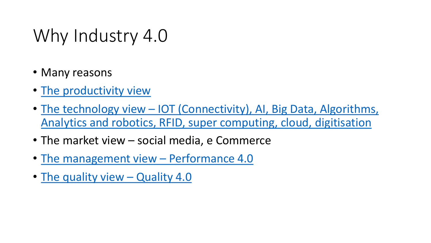# <span id="page-3-0"></span>Why Industry 4.0

- Many reasons
- [The productivity view](#page-4-0)
- The technology view IOT (Connectivity), AI, Big Data, Algorithms, [Analytics and robotics, RFID, super computing, cloud, digitisation](#page-7-0)
- The market view social media, e Commerce
- [The management view](#page-8-0)  Performance 4.0
- [The quality view](#page-13-0)  Quality 4.0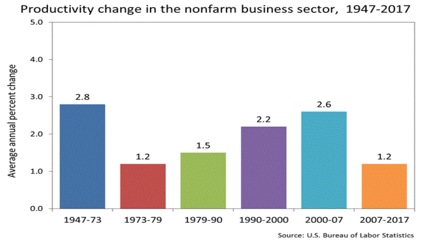



Source: U.S. Bureau of Labor Statistics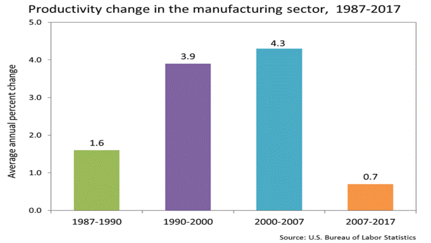

Productivity change in the manufacturing sector, 1987-2017

Source: U.S. Bureau of Labor Statistics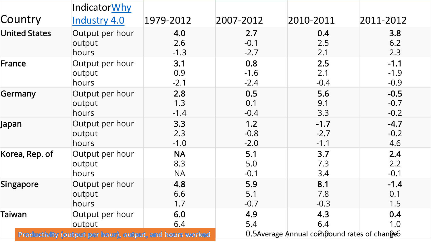|           |                      | IndicatorWhy                                             |                               |                                              |                            |                            |  |
|-----------|----------------------|----------------------------------------------------------|-------------------------------|----------------------------------------------|----------------------------|----------------------------|--|
| Country   |                      | Industry 4.0                                             | 1979-2012                     | 2007-2012                                    | 2010-2011                  | 2011-2012                  |  |
|           | <b>United States</b> | Output per hour<br>output<br>hours                       | 4.0<br>2.6<br>$-1.3$          | 2.7<br>$-0.1$<br>$-2.7$                      | 0.4<br>2.5<br>2.1          | 3.8<br>6.2<br>2.3          |  |
| France    |                      | Output per hour<br>output<br>hours                       | 3.1<br>0.9<br>$-2.1$          | 0.8<br>$-1.6$<br>$-2.4$                      | 2.5<br>2.1<br>$-0.4$       | $-1.1$<br>$-1.9$<br>$-0.9$ |  |
| Germany   |                      | Output per hour<br>output<br>hours                       | 2.8<br>1.3<br>$-1.4$          | 0.5<br>0.1<br>$-0.4$                         | 5.6<br>9.1<br>3.3          | $-0.5$<br>$-0.7$<br>$-0.2$ |  |
| Japan     |                      | Output per hour<br>output<br>hours                       | 3.3<br>2.3<br>$-1.0$          | 1.2<br>$-0.8$<br>$-2.0$                      | $-1.7$<br>$-2.7$<br>$-1.1$ | $-4.7$<br>$-0.2$<br>4.6    |  |
|           | Korea, Rep. of       | Output per hour<br>output<br>hours                       | <b>NA</b><br>8.3<br><b>NA</b> | 5.1<br>5.0<br>$-0.1$                         | 3.7<br>7.3<br>3.4          | 2.4<br>2.2<br>$-0.1$       |  |
| Singapore |                      | Output per hour<br>output<br>hours                       | 4.8<br>6.6<br>1.7             | 5.9<br>5.1<br>$-0.7$                         | 8.1<br>7.8<br>$-0.3$       | $-1.4$<br>0.1<br>1.5       |  |
| Taiwan    |                      | Output per hour<br>output                                | 6.0<br>6.4                    | 4.9<br>5.4                                   | 4.3<br>6.4                 | 0.4<br>1.0                 |  |
|           |                      | Productivity (output per hour), output, and hours worked |                               | 0.5Average Annual compound rates of change 6 |                            |                            |  |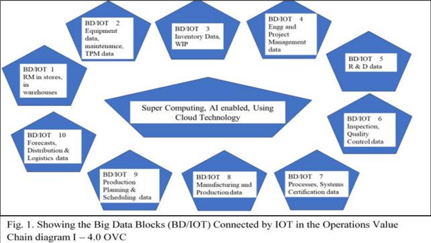

Fig. 1. Showing the Big Data Blocks (BD/IOT) Connected by IOT in the Operations Value Chain diagram  $I - 4.0$  OVC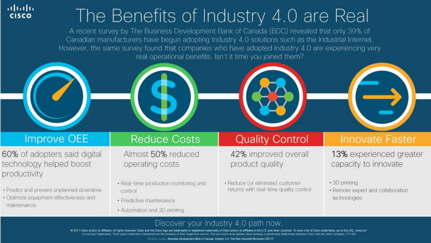# The Benefits of Industry 4.0 are Real

A recent survey by The Business Development Bank of Canada (BDC) revealed that only 39% of Canadian manufacturers have begun adopting Industry 4.0 solutions such as the Industrial Internet. However, the same survey found that companies who have adopted Industry 4.0 are experiencing very real operational benefits. Isn't it time you joined them?

#### **Improve OEE**

ahaha

**CISCO** 

60% of adopters said digital technology helped boost productivity

- · Predict and prevent unplanned downtime
- · Optimize equipment effectiveness and maintenance

### **Reduce Costs**

Almost 50% reduced operating costs

- · Real-time production monitoring and control
- · Predictive maintenance
- Automation and 3D printing

#### **Quality Control**

42% improved overall product quality

· Reduce (or eliminate) customer returns with real-time quality control

### **Innovate Faster**

13% experienced greater capacity to innovate

- · 3D printing
- · Remote expert and collaboration technologies

#### Discover your Industry 4.0 path now.

@ 2017 Cisco and/or its affiliates. All rights reserved. Cisco and the Cisco logo are trademarks or naries of Classo and/or its affiliates in the U.S. and other countries. To view a list of Classo trademarks, go to this URL: www.cis-

11 data countries Business Development Bank of Canada, Industry 4.0: The New Industrial Revolution (2017)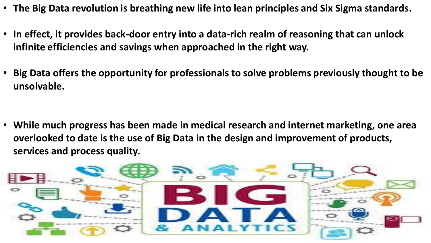- **The Big Data revolution is breathing new life into lean principles and Six Sigma standards.**
- **In effect, it provides back-door entry into a data-rich realm of reasoning that can unlock infinite efficiencies and savings when approached in the right way.**
- **Big Data offers the opportunity for professionals to solve problems previously thought to be unsolvable.**

• **While much progress has been made in medical research and internet marketing, one area overlooked to date is the use of Big Data in the design and improvement of products, services and process quality.** 

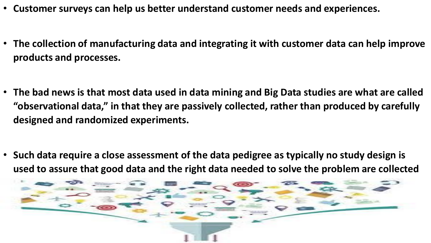- **Customer surveys can help us better understand customer needs and experiences.**
- **The collection of manufacturing data and integrating it with customer data can help improve products and processes.**

- **The bad news is that most data used in data mining and Big Data studies are what are called "observational data," in that they are passively collected, rather than produced by carefully designed and randomized experiments.**
- **Such data require a close assessment of the data pedigree as typically no study design is used to assure that good data and the right data needed to solve the problem are collected**

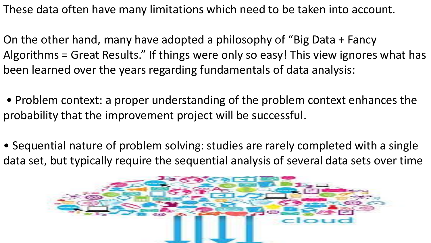These data often have many limitations which need to be taken into account.

On the other hand, many have adopted a philosophy of "Big Data + Fancy Algorithms = Great Results." If things were only so easy! This view ignores what has been learned over the years regarding fundamentals of data analysis:

• Problem context: a proper understanding of the problem context enhances the probability that the improvement project will be successful.

• Sequential nature of problem solving: studies are rarely completed with a single data set, but typically require the sequential analysis of several data sets over time

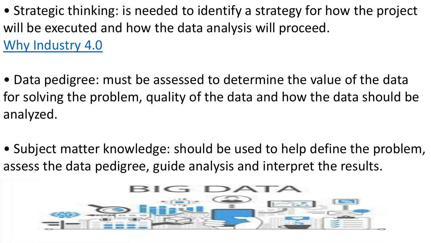- Strategic thinking: is needed to identify a strategy for how the project will be executed and how the data analysis will proceed. [Why Industry 4.0](#page-3-0)
- Data pedigree: must be assessed to determine the value of the data for solving the problem, quality of the data and how the data should be analyzed.
- Subject matter knowledge: should be used to help define the problem, assess the data pedigree, guide analysis and interpret the results.

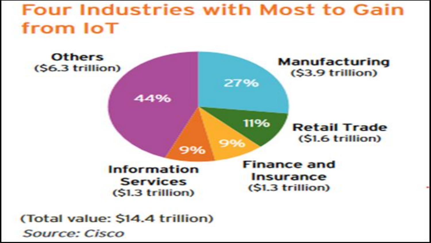### **Four Industries with Most to Gain** from IoT



(Total value: \$14.4 trillion) **Source: Cisco**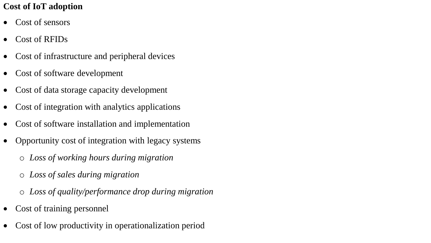#### **Cost of IoT adoption**

- Cost of sensors
- Cost of RFIDs
- Cost of infrastructure and peripheral devices
- Cost of software development
- Cost of data storage capacity development
- Cost of integration with analytics applications
- Cost of software installation and implementation
- Opportunity cost of integration with legacy systems
	- o *Loss of working hours during migration*
	- o *Loss of sales during migration*
	- o *Loss of quality/performance drop during migration*
- Cost of training personnel
- Cost of low productivity in operationalization period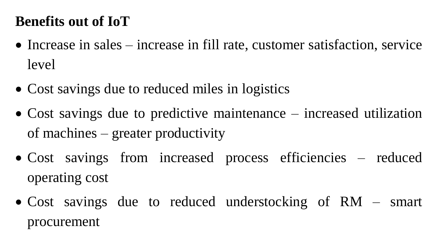### **Benefits out of IoT**

- Increase in sales increase in fill rate, customer satisfaction, service level
- Cost savings due to reduced miles in logistics
- Cost savings due to predictive maintenance increased utilization of machines – greater productivity
- Cost savings from increased process efficiencies reduced operating cost
- Cost savings due to reduced understocking of RM smart procurement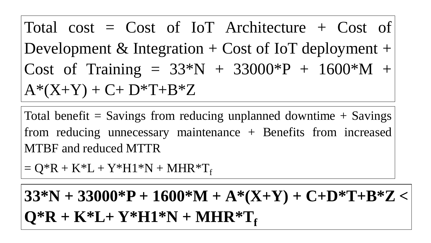Total cost =  $Cost$  of IoT Architecture + Cost of Development & Integration  $+$  Cost of IoT deployment  $+$ Cost of Training =  $33^*N + 33000^*P + 1600^*M +$  $A*(X+Y) + C + D*T + B*Z$ 

Total benefit  $=$  Savings from reducing unplanned downtime  $+$  Savings from reducing unnecessary maintenance + Benefits from increased MTBF and reduced MTTR

 $= Q^*R + K^*L + Y^*H1^*N + MHR^*T_f$ 

**33\*N + 33000\*P + 1600\*M + A\*(X+Y) + C+D\*T+B\*Z <**  $Q^*R + K^*L + Y^*H1^*N + MHR^*T_f$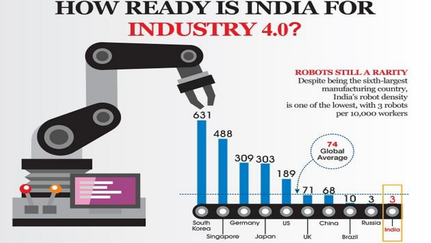## **HOW READY IS INDIA FOR INDUSTRY 4.0?**

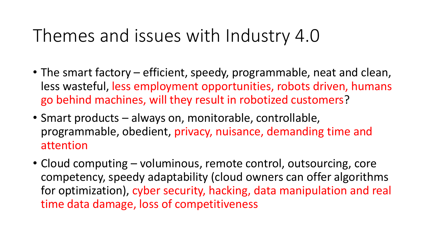## Themes and issues with Industry 4.0

- The smart factory efficient, speedy, programmable, neat and clean, less wasteful, less employment opportunities, robots driven, humans go behind machines, will they result in robotized customers?
- Smart products always on, monitorable, controllable, programmable, obedient, privacy, nuisance, demanding time and attention
- Cloud computing voluminous, remote control, outsourcing, core competency, speedy adaptability (cloud owners can offer algorithms for optimization), cyber security, hacking, data manipulation and real time data damage, loss of competitiveness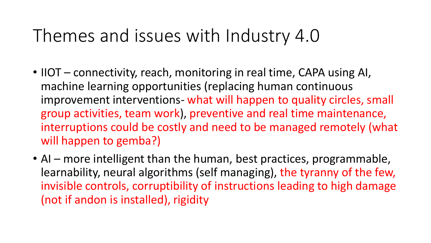### Themes and issues with Industry 4.0

- IIOT connectivity, reach, monitoring in real time, CAPA using AI, machine learning opportunities (replacing human continuous improvement interventions- what will happen to quality circles, small group activities, team work), preventive and real time maintenance, interruptions could be costly and need to be managed remotely (what will happen to gemba?)
- AI more intelligent than the human, best practices, programmable, learnability, neural algorithms (self managing), the tyranny of the few, invisible controls, corruptibility of instructions leading to high damage (not if andon is installed), rigidity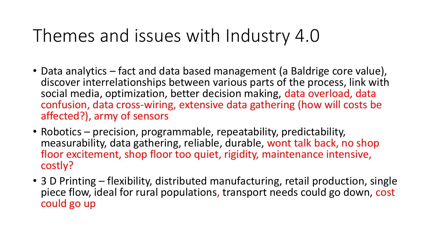## Themes and issues with Industry 4.0

- Data analytics fact and data based management (a Baldrige core value), discover interrelationships between various parts of the process, link with social media, optimization, better decision making, data overload, data confusion, data cross-wiring, extensive data gathering (how will costs be affected?), army of sensors
- Robotics precision, programmable, repeatability, predictability, measurability, data gathering, reliable, durable, wont talk back, no shop floor excitement, shop floor too quiet, rigidity, maintenance intensive, costly?
- 3 D Printing flexibility, distributed manufacturing, retail production, single piece flow, ideal for rural populations, transport needs could go down, cost could go up